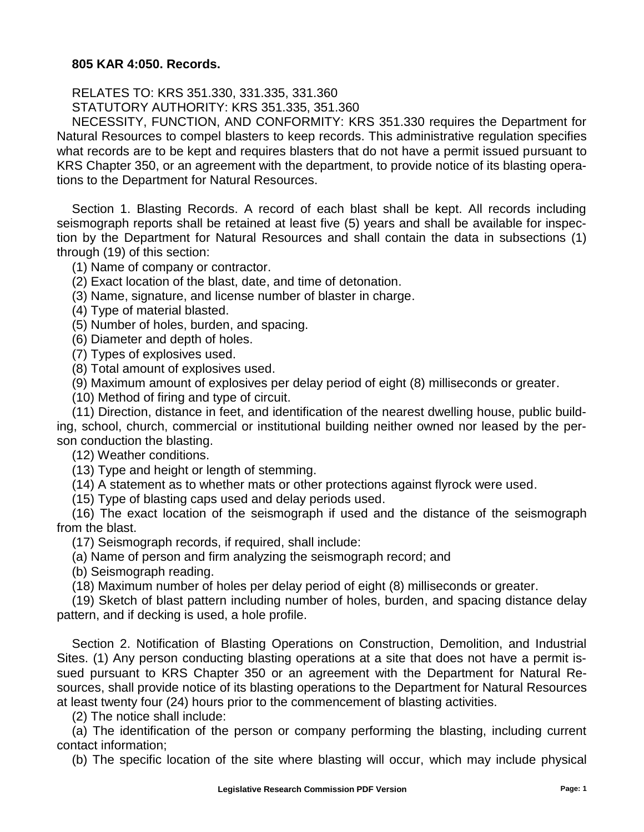## **805 KAR 4:050. Records.**

RELATES TO: KRS 351.330, 331.335, 331.360

STATUTORY AUTHORITY: KRS 351.335, 351.360

NECESSITY, FUNCTION, AND CONFORMITY: KRS 351.330 requires the Department for Natural Resources to compel blasters to keep records. This administrative regulation specifies what records are to be kept and requires blasters that do not have a permit issued pursuant to KRS Chapter 350, or an agreement with the department, to provide notice of its blasting operations to the Department for Natural Resources.

Section 1. Blasting Records. A record of each blast shall be kept. All records including seismograph reports shall be retained at least five (5) years and shall be available for inspection by the Department for Natural Resources and shall contain the data in subsections (1) through (19) of this section:

(1) Name of company or contractor.

(2) Exact location of the blast, date, and time of detonation.

(3) Name, signature, and license number of blaster in charge.

(4) Type of material blasted.

(5) Number of holes, burden, and spacing.

(6) Diameter and depth of holes.

(7) Types of explosives used.

(8) Total amount of explosives used.

(9) Maximum amount of explosives per delay period of eight (8) milliseconds or greater.

(10) Method of firing and type of circuit.

(11) Direction, distance in feet, and identification of the nearest dwelling house, public build-

ing, school, church, commercial or institutional building neither owned nor leased by the person conduction the blasting.

(12) Weather conditions.

(13) Type and height or length of stemming.

(14) A statement as to whether mats or other protections against flyrock were used.

(15) Type of blasting caps used and delay periods used.

(16) The exact location of the seismograph if used and the distance of the seismograph from the blast.

(17) Seismograph records, if required, shall include:

(a) Name of person and firm analyzing the seismograph record; and

(b) Seismograph reading.

(18) Maximum number of holes per delay period of eight (8) milliseconds or greater.

(19) Sketch of blast pattern including number of holes, burden, and spacing distance delay pattern, and if decking is used, a hole profile.

Section 2. Notification of Blasting Operations on Construction, Demolition, and Industrial Sites. (1) Any person conducting blasting operations at a site that does not have a permit issued pursuant to KRS Chapter 350 or an agreement with the Department for Natural Resources, shall provide notice of its blasting operations to the Department for Natural Resources at least twenty four (24) hours prior to the commencement of blasting activities.

(2) The notice shall include:

(a) The identification of the person or company performing the blasting, including current contact information;

(b) The specific location of the site where blasting will occur, which may include physical